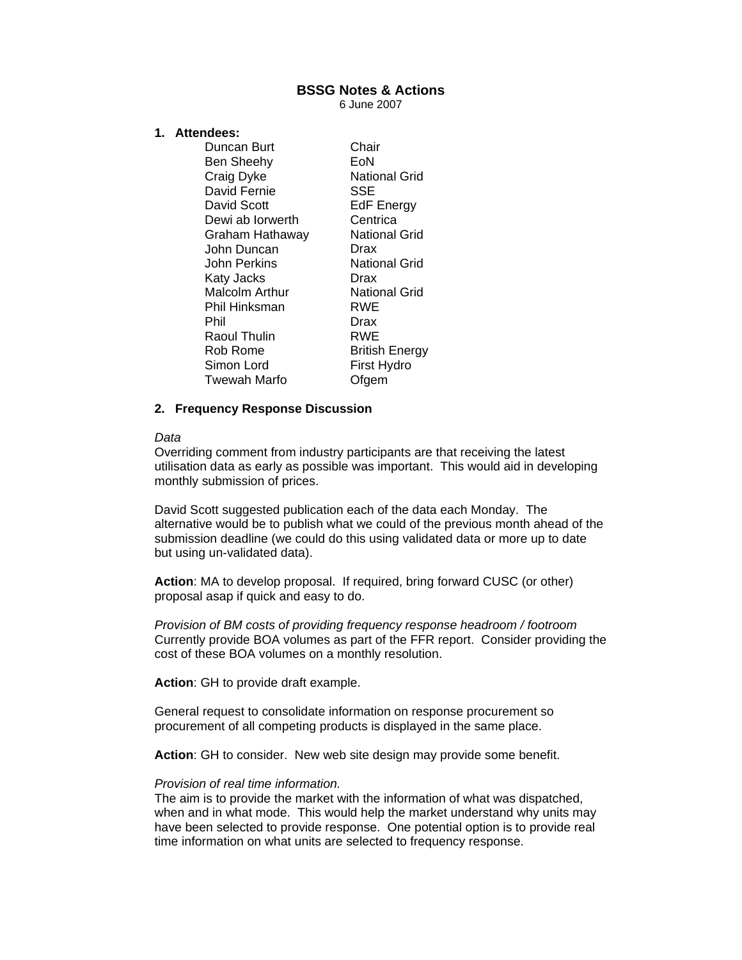# **BSSG Notes & Actions**

6 June 2007

# **1. Attendees:**

| Chair                 |
|-----------------------|
| EoN                   |
| <b>National Grid</b>  |
| SSE                   |
| <b>EdF</b> Energy     |
| Centrica              |
| National Grid         |
| Drax                  |
| <b>National Grid</b>  |
| Drax                  |
| <b>National Grid</b>  |
| RWE                   |
| Drax                  |
| RWE                   |
| <b>British Energy</b> |
| First Hydro           |
| Ofgem                 |
|                       |

## **2. Frequency Response Discussion**

#### *Data*

Overriding comment from industry participants are that receiving the latest utilisation data as early as possible was important. This would aid in developing monthly submission of prices.

David Scott suggested publication each of the data each Monday. The alternative would be to publish what we could of the previous month ahead of the submission deadline (we could do this using validated data or more up to date but using un-validated data).

**Action**: MA to develop proposal. If required, bring forward CUSC (or other) proposal asap if quick and easy to do.

*Provision of BM costs of providing frequency response headroom / footroom* Currently provide BOA volumes as part of the FFR report. Consider providing the cost of these BOA volumes on a monthly resolution.

**Action**: GH to provide draft example.

General request to consolidate information on response procurement so procurement of all competing products is displayed in the same place.

**Action**: GH to consider. New web site design may provide some benefit.

### *Provision of real time information.*

The aim is to provide the market with the information of what was dispatched, when and in what mode. This would help the market understand why units may have been selected to provide response. One potential option is to provide real time information on what units are selected to frequency response.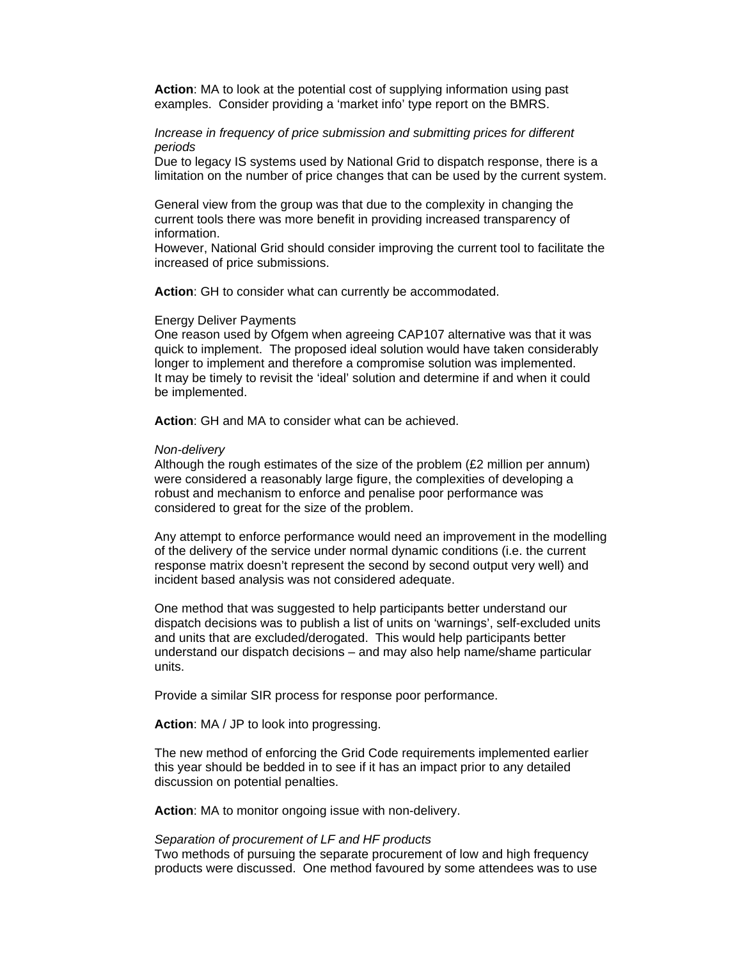**Action**: MA to look at the potential cost of supplying information using past examples. Consider providing a 'market info' type report on the BMRS.

## *Increase in frequency of price submission and submitting prices for different periods*

Due to legacy IS systems used by National Grid to dispatch response, there is a limitation on the number of price changes that can be used by the current system.

General view from the group was that due to the complexity in changing the current tools there was more benefit in providing increased transparency of information.

However, National Grid should consider improving the current tool to facilitate the increased of price submissions.

**Action**: GH to consider what can currently be accommodated.

### Energy Deliver Payments

One reason used by Ofgem when agreeing CAP107 alternative was that it was quick to implement. The proposed ideal solution would have taken considerably longer to implement and therefore a compromise solution was implemented. It may be timely to revisit the 'ideal' solution and determine if and when it could be implemented.

**Action**: GH and MA to consider what can be achieved.

#### *Non-delivery*

Although the rough estimates of the size of the problem (£2 million per annum) were considered a reasonably large figure, the complexities of developing a robust and mechanism to enforce and penalise poor performance was considered to great for the size of the problem.

Any attempt to enforce performance would need an improvement in the modelling of the delivery of the service under normal dynamic conditions (i.e. the current response matrix doesn't represent the second by second output very well) and incident based analysis was not considered adequate.

One method that was suggested to help participants better understand our dispatch decisions was to publish a list of units on 'warnings', self-excluded units and units that are excluded/derogated. This would help participants better understand our dispatch decisions – and may also help name/shame particular units.

Provide a similar SIR process for response poor performance.

**Action**: MA / JP to look into progressing.

The new method of enforcing the Grid Code requirements implemented earlier this year should be bedded in to see if it has an impact prior to any detailed discussion on potential penalties.

**Action**: MA to monitor ongoing issue with non-delivery.

*Separation of procurement of LF and HF products*  Two methods of pursuing the separate procurement of low and high frequency products were discussed. One method favoured by some attendees was to use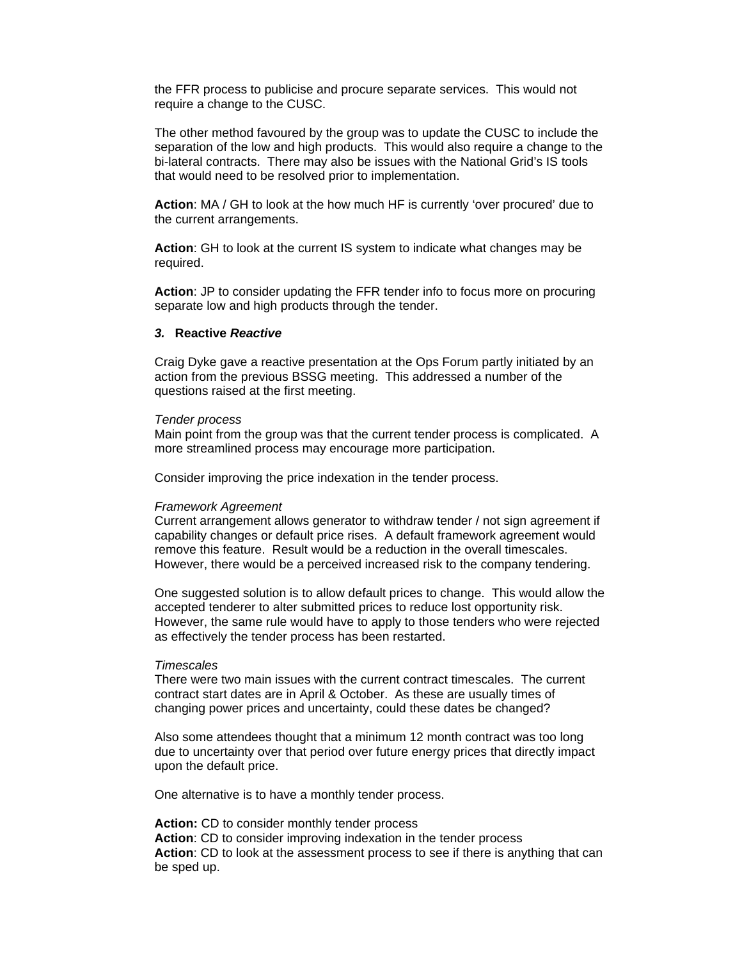the FFR process to publicise and procure separate services. This would not require a change to the CUSC.

The other method favoured by the group was to update the CUSC to include the separation of the low and high products. This would also require a change to the bi-lateral contracts. There may also be issues with the National Grid's IS tools that would need to be resolved prior to implementation.

**Action**: MA / GH to look at the how much HF is currently 'over procured' due to the current arrangements.

**Action**: GH to look at the current IS system to indicate what changes may be required.

**Action**: JP to consider updating the FFR tender info to focus more on procuring separate low and high products through the tender.

# *3.* **Reactive** *Reactive*

Craig Dyke gave a reactive presentation at the Ops Forum partly initiated by an action from the previous BSSG meeting. This addressed a number of the questions raised at the first meeting.

### *Tender process*

Main point from the group was that the current tender process is complicated. A more streamlined process may encourage more participation.

Consider improving the price indexation in the tender process.

### *Framework Agreement*

Current arrangement allows generator to withdraw tender / not sign agreement if capability changes or default price rises. A default framework agreement would remove this feature. Result would be a reduction in the overall timescales. However, there would be a perceived increased risk to the company tendering.

One suggested solution is to allow default prices to change. This would allow the accepted tenderer to alter submitted prices to reduce lost opportunity risk. However, the same rule would have to apply to those tenders who were rejected as effectively the tender process has been restarted.

#### *Timescales*

There were two main issues with the current contract timescales. The current contract start dates are in April & October. As these are usually times of changing power prices and uncertainty, could these dates be changed?

Also some attendees thought that a minimum 12 month contract was too long due to uncertainty over that period over future energy prices that directly impact upon the default price.

One alternative is to have a monthly tender process.

**Action:** CD to consider monthly tender process **Action**: CD to consider improving indexation in the tender process **Action**: CD to look at the assessment process to see if there is anything that can be sped up.